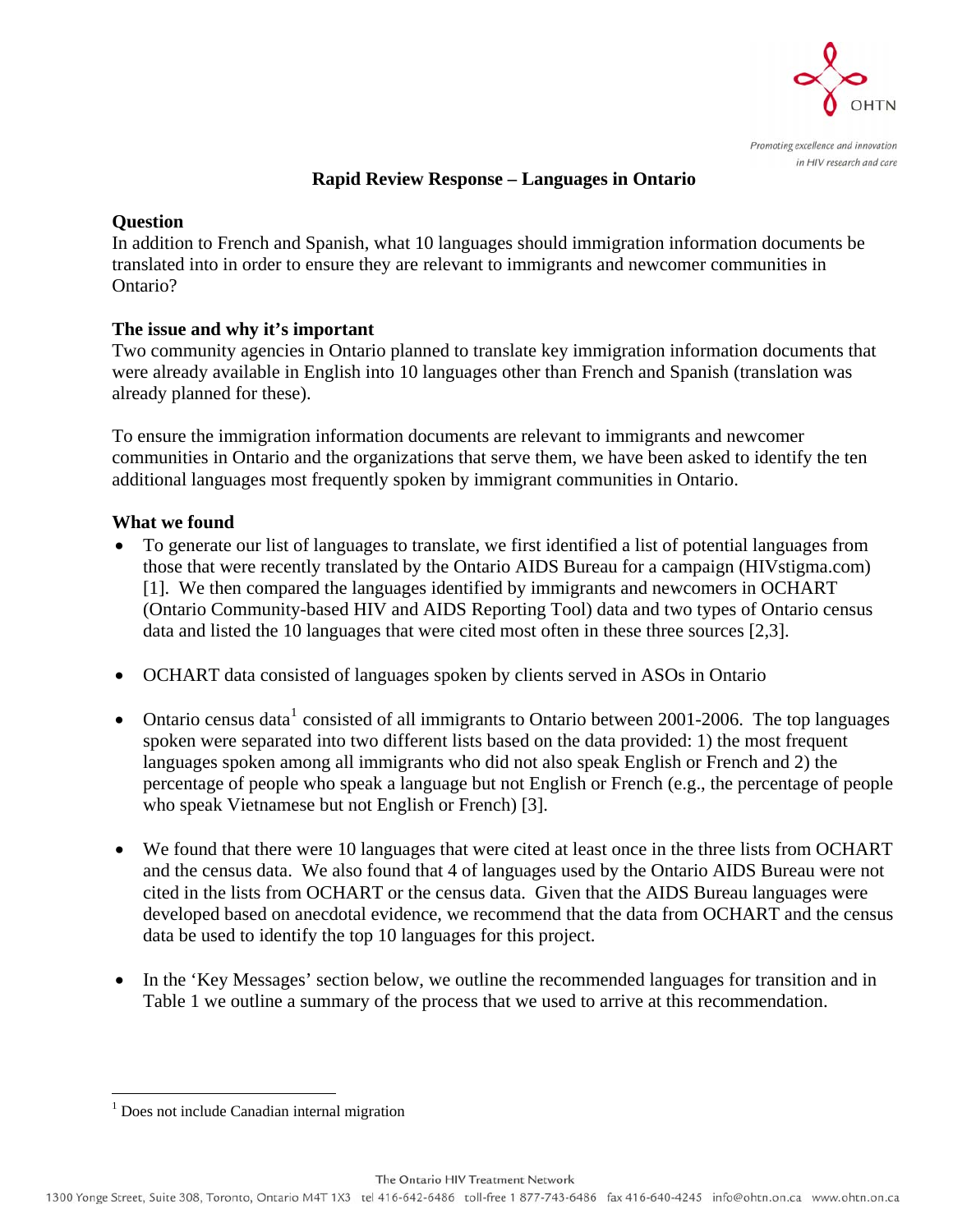

### **Rapid Review Response – Languages in Ontario**

#### **Question**

In addition to French and Spanish, what 10 languages should immigration information documents be translated into in order to ensure they are relevant to immigrants and newcomer communities in Ontario?

#### **The issue and why it's important**

Two community agencies in Ontario planned to translate key immigration information documents that were already available in English into 10 languages other than French and Spanish (translation was already planned for these).

To ensure the immigration information documents are relevant to immigrants and newcomer communities in Ontario and the organizations that serve them, we have been asked to identify the ten additional languages most frequently spoken by immigrant communities in Ontario.

#### **What we found**

- To generate our list of languages to translate, we first identified a list of potential languages from those that were recently translated by the Ontario AIDS Bureau for a campaign (HIVstigma.com) [1]. We then compared the languages identified by immigrants and newcomers in OCHART (Ontario Community-based HIV and AIDS Reporting Tool) data and two types of Ontario census data and listed the 10 languages that were cited most often in these three sources [2,3].
- OCHART data consisted of languages spoken by clients served in ASOs in Ontario
- Ontario census data<sup>[1](#page-0-0)</sup> consisted of all immigrants to Ontario between 2001-2006. The top languages spoken were separated into two different lists based on the data provided: 1) the most frequent languages spoken among all immigrants who did not also speak English or French and 2) the percentage of people who speak a language but not English or French (e.g., the percentage of people who speak Vietnamese but not English or French) [3].
- We found that there were 10 languages that were cited at least once in the three lists from OCHART and the census data. We also found that 4 of languages used by the Ontario AIDS Bureau were not cited in the lists from OCHART or the census data. Given that the AIDS Bureau languages were developed based on anecdotal evidence, we recommend that the data from OCHART and the census data be used to identify the top 10 languages for this project.
- In the 'Key Messages' section below, we outline the recommended languages for transition and in Table 1 we outline a summary of the process that we used to arrive at this recommendation.

<u>.</u>

<span id="page-0-0"></span><sup>&</sup>lt;sup>1</sup> Does not include Canadian internal migration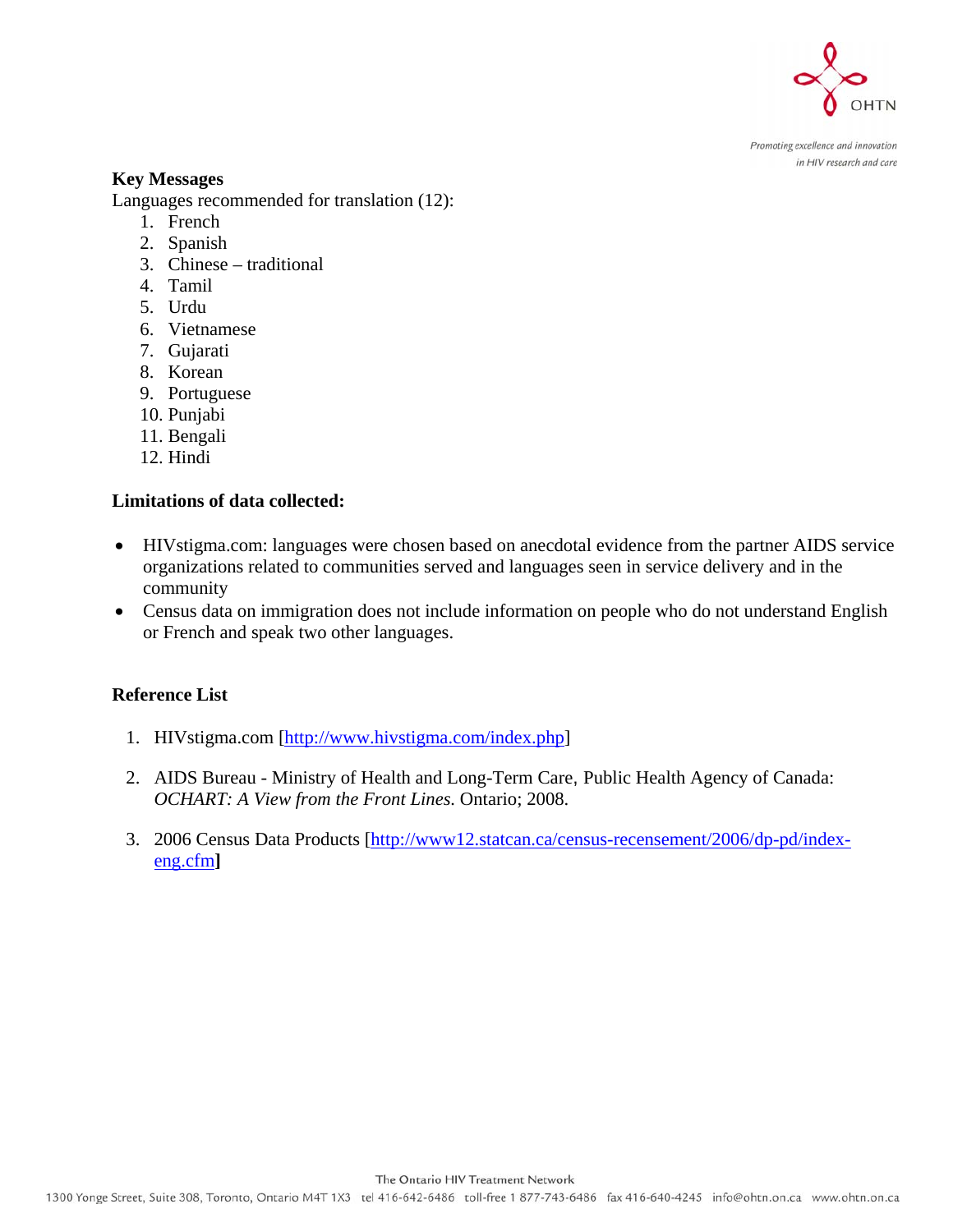

#### **Key Messages**

Languages recommended for translation (12):

- 1. French
- 2. Spanish
- 3. Chinese traditional
- 4. Tamil
- 5. Urdu
- 6. Vietnamese
- 7. Gujarati
- 8. Korean
- 9. Portuguese
- 10. Punjabi
- 11. Bengali
- 12. Hindi

# **Limitations of data collected:**

- HIVstigma.com: languages were chosen based on anecdotal evidence from the partner AIDS service organizations related to communities served and languages seen in service delivery and in the community
- Census data on immigration does not include information on people who do not understand English or French and speak two other languages.

## **Reference List**

- 1. HIVstigma.com [[http://www.hivstigma.com/index.php\]](http://www.hivstigma.com/index.php)
- 2. AIDS Bureau Ministry of Health and Long-Term Care, Public Health Agency of Canada: *OCHART: A View from the Front Lines.* Ontario; 2008.
- 3. 2006 Census Data Products [\[http://www12.statcan.ca/census-recensement/2006/dp-pd/index](http://www12.statcan.ca/census-recensement/2006/dp-pd/index-eng.cfm)[eng.cfm](http://www12.statcan.ca/census-recensement/2006/dp-pd/index-eng.cfm)**]**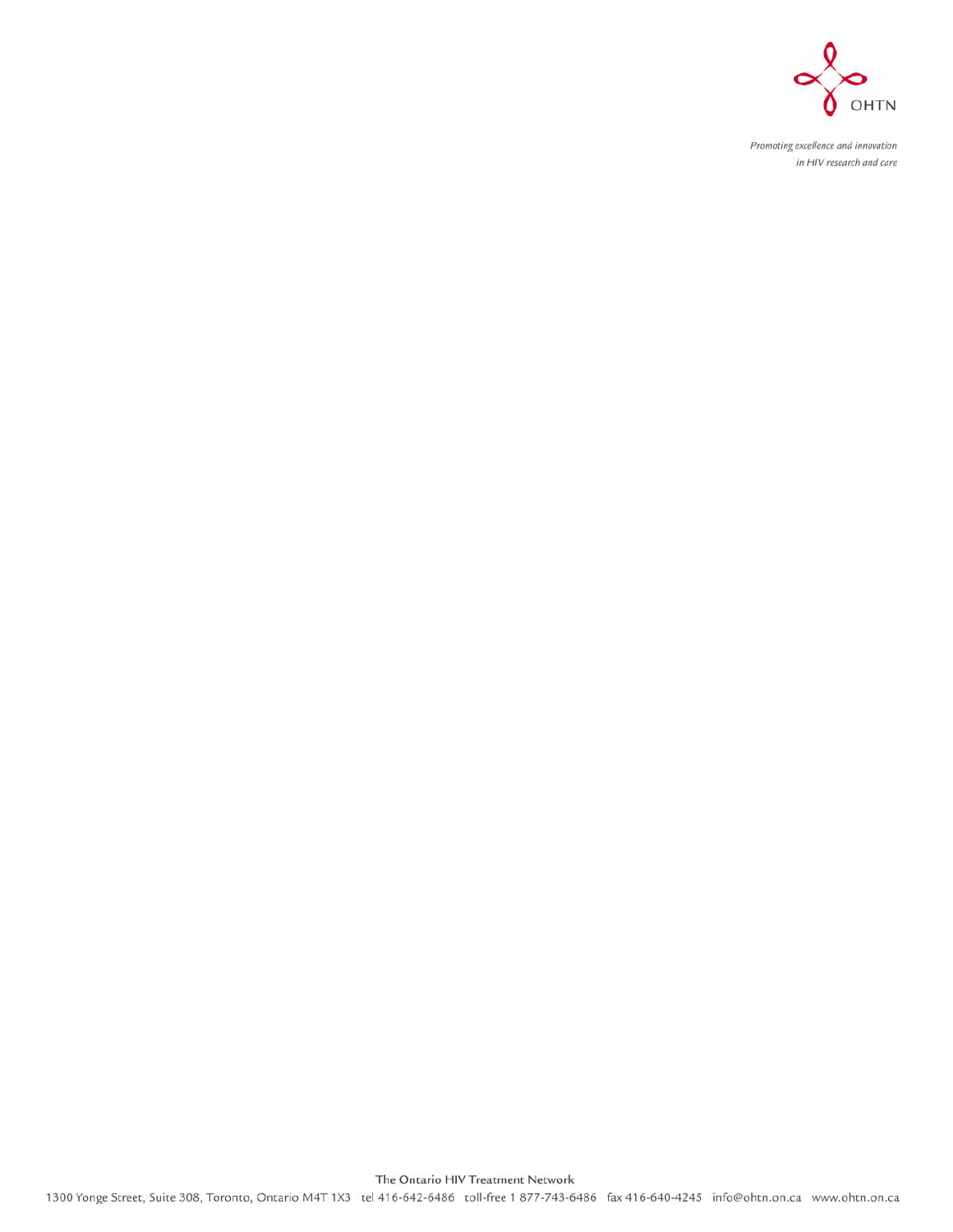